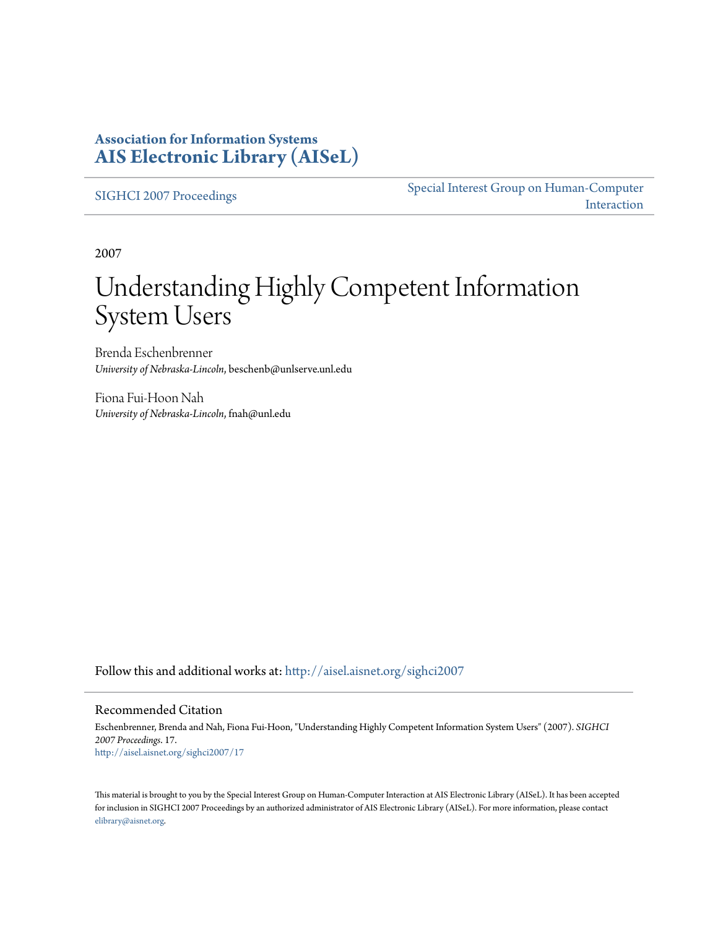# **Association for Information Systems [AIS Electronic Library \(AISeL\)](http://aisel.aisnet.org?utm_source=aisel.aisnet.org%2Fsighci2007%2F17&utm_medium=PDF&utm_campaign=PDFCoverPages)**

[SIGHCI 2007 Proceedings](http://aisel.aisnet.org/sighci2007?utm_source=aisel.aisnet.org%2Fsighci2007%2F17&utm_medium=PDF&utm_campaign=PDFCoverPages)

[Special Interest Group on Human-Computer](http://aisel.aisnet.org/sighci?utm_source=aisel.aisnet.org%2Fsighci2007%2F17&utm_medium=PDF&utm_campaign=PDFCoverPages) [Interaction](http://aisel.aisnet.org/sighci?utm_source=aisel.aisnet.org%2Fsighci2007%2F17&utm_medium=PDF&utm_campaign=PDFCoverPages)

2007

# Understanding Highly Competent Information System Users

Brenda Eschenbrenner *University of Nebraska-Lincoln*, beschenb@unlserve.unl.edu

Fiona Fui-Hoon Nah *University of Nebraska-Lincoln*, fnah@unl.edu

Follow this and additional works at: [http://aisel.aisnet.org/sighci2007](http://aisel.aisnet.org/sighci2007?utm_source=aisel.aisnet.org%2Fsighci2007%2F17&utm_medium=PDF&utm_campaign=PDFCoverPages)

#### Recommended Citation

Eschenbrenner, Brenda and Nah, Fiona Fui-Hoon, "Understanding Highly Competent Information System Users" (2007). *SIGHCI 2007 Proceedings*. 17. [http://aisel.aisnet.org/sighci2007/17](http://aisel.aisnet.org/sighci2007/17?utm_source=aisel.aisnet.org%2Fsighci2007%2F17&utm_medium=PDF&utm_campaign=PDFCoverPages)

This material is brought to you by the Special Interest Group on Human-Computer Interaction at AIS Electronic Library (AISeL). It has been accepted for inclusion in SIGHCI 2007 Proceedings by an authorized administrator of AIS Electronic Library (AISeL). For more information, please contact [elibrary@aisnet.org.](mailto:elibrary@aisnet.org%3E)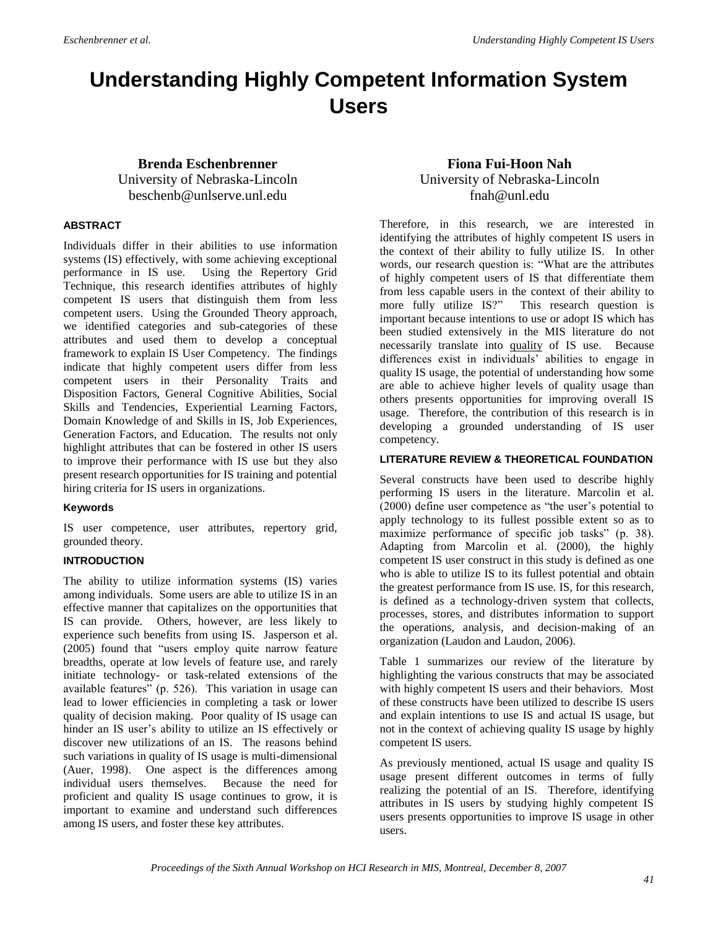# **Understanding Highly Competent Information System Users**

# **Brenda Eschenbrenner** University of Nebraska-Lincoln beschenb@unlserve.unl.edu

# **ABSTRACT**

Individuals differ in their abilities to use information systems (IS) effectively, with some achieving exceptional performance in IS use. Using the Repertory Grid Technique, this research identifies attributes of highly competent IS users that distinguish them from less competent users. Using the Grounded Theory approach, we identified categories and sub-categories of these attributes and used them to develop a conceptual framework to explain IS User Competency. The findings indicate that highly competent users differ from less competent users in their Personality Traits and Disposition Factors, General Cognitive Abilities, Social Skills and Tendencies, Experiential Learning Factors, Domain Knowledge of and Skills in IS, Job Experiences, Generation Factors, and Education. The results not only highlight attributes that can be fostered in other IS users to improve their performance with IS use but they also present research opportunities for IS training and potential hiring criteria for IS users in organizations.

#### **Keywords**

IS user competence, user attributes, repertory grid, grounded theory.

#### **INTRODUCTION**

The ability to utilize information systems (IS) varies among individuals. Some users are able to utilize IS in an effective manner that capitalizes on the opportunities that IS can provide. Others, however, are less likely to experience such benefits from using IS. Jasperson et al. (2005) found that "users employ quite narrow feature breadths, operate at low levels of feature use, and rarely initiate technology- or task-related extensions of the available features" (p. 526). This variation in usage can lead to lower efficiencies in completing a task or lower quality of decision making. Poor quality of IS usage can hinder an IS user's ability to utilize an IS effectively or discover new utilizations of an IS. The reasons behind such variations in quality of IS usage is multi-dimensional (Auer, 1998). One aspect is the differences among individual users themselves. Because the need for proficient and quality IS usage continues to grow, it is important to examine and understand such differences among IS users, and foster these key attributes.

# **Fiona Fui-Hoon Nah** University of Nebraska-Lincoln fnah@unl.edu

Therefore, in this research, we are interested in identifying the attributes of highly competent IS users in the context of their ability to fully utilize IS. In other words, our research question is: "What are the attributes of highly competent users of IS that differentiate them from less capable users in the context of their ability to more fully utilize IS?" This research question is important because intentions to use or adopt IS which has been studied extensively in the MIS literature do not necessarily translate into quality of IS use. Because differences exist in individuals' abilities to engage in quality IS usage, the potential of understanding how some are able to achieve higher levels of quality usage than others presents opportunities for improving overall IS usage. Therefore, the contribution of this research is in developing a grounded understanding of IS user competency.

#### **LITERATURE REVIEW & THEORETICAL FOUNDATION**

Several constructs have been used to describe highly performing IS users in the literature. Marcolin et al. (2000) define user competence as "the user's potential to apply technology to its fullest possible extent so as to maximize performance of specific job tasks" (p. 38). Adapting from Marcolin et al. (2000), the highly competent IS user construct in this study is defined as one who is able to utilize IS to its fullest potential and obtain the greatest performance from IS use. IS, for this research, is defined as a technology-driven system that collects, processes, stores, and distributes information to support the operations, analysis, and decision-making of an organization (Laudon and Laudon, 2006).

Table 1 summarizes our review of the literature by highlighting the various constructs that may be associated with highly competent IS users and their behaviors. Most of these constructs have been utilized to describe IS users and explain intentions to use IS and actual IS usage, but not in the context of achieving quality IS usage by highly competent IS users.

As previously mentioned, actual IS usage and quality IS usage present different outcomes in terms of fully realizing the potential of an IS. Therefore, identifying attributes in IS users by studying highly competent IS users presents opportunities to improve IS usage in other users.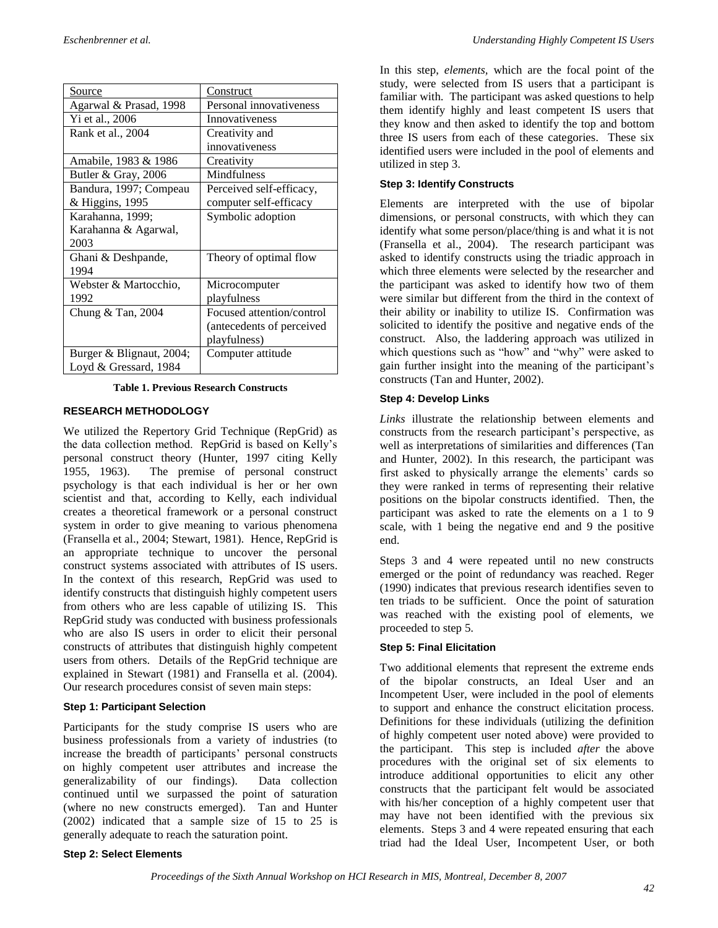| Source                   | Construct                 |
|--------------------------|---------------------------|
| Agarwal & Prasad, 1998   | Personal innovativeness   |
| Yi et al., 2006          | Innovativeness            |
| Rank et al., 2004        | Creativity and            |
|                          | innovativeness            |
| Amabile, 1983 & 1986     | Creativity                |
| Butler & Gray, 2006      | Mindfulness               |
| Bandura, 1997; Compeau   | Perceived self-efficacy,  |
| & Higgins, 1995          | computer self-efficacy    |
| Karahanna, 1999;         | Symbolic adoption         |
| Karahanna & Agarwal,     |                           |
| 2003                     |                           |
| Ghani & Deshpande,       | Theory of optimal flow    |
| 1994                     |                           |
| Webster & Martocchio,    | Microcomputer             |
| 1992                     | playfulness               |
| Chung $&$ Tan, 2004      | Focused attention/control |
|                          | (antecedents of perceived |
|                          | playfulness)              |
| Burger & Blignaut, 2004; | Computer attitude         |
| Loyd & Gressard, 1984    |                           |

**Table 1. Previous Research Constructs**

#### **RESEARCH METHODOLOGY**

We utilized the Repertory Grid Technique (RepGrid) as the data collection method. RepGrid is based on Kelly's personal construct theory (Hunter, 1997 citing Kelly 1955, 1963). The premise of personal construct psychology is that each individual is her or her own scientist and that, according to Kelly, each individual creates a theoretical framework or a personal construct system in order to give meaning to various phenomena (Fransella et al., 2004; Stewart, 1981). Hence, RepGrid is an appropriate technique to uncover the personal construct systems associated with attributes of IS users. In the context of this research, RepGrid was used to identify constructs that distinguish highly competent users from others who are less capable of utilizing IS. This RepGrid study was conducted with business professionals who are also IS users in order to elicit their personal constructs of attributes that distinguish highly competent users from others. Details of the RepGrid technique are explained in Stewart (1981) and Fransella et al. (2004). Our research procedures consist of seven main steps:

#### **Step 1: Participant Selection**

Participants for the study comprise IS users who are business professionals from a variety of industries (to increase the breadth of participants' personal constructs on highly competent user attributes and increase the generalizability of our findings). Data collection continued until we surpassed the point of saturation (where no new constructs emerged). Tan and Hunter (2002) indicated that a sample size of 15 to 25 is generally adequate to reach the saturation point.

In this step, *elements,* which are the focal point of the study, were selected from IS users that a participant is familiar with. The participant was asked questions to help them identify highly and least competent IS users that they know and then asked to identify the top and bottom three IS users from each of these categories. These six identified users were included in the pool of elements and utilized in step 3.

#### **Step 3: Identify Constructs**

Elements are interpreted with the use of bipolar dimensions, or personal constructs, with which they can identify what some person/place/thing is and what it is not (Fransella et al., 2004). The research participant was asked to identify constructs using the triadic approach in which three elements were selected by the researcher and the participant was asked to identify how two of them were similar but different from the third in the context of their ability or inability to utilize IS. Confirmation was solicited to identify the positive and negative ends of the construct. Also, the laddering approach was utilized in which questions such as "how" and "why" were asked to gain further insight into the meaning of the participant's constructs (Tan and Hunter, 2002).

#### **Step 4: Develop Links**

*Links* illustrate the relationship between elements and constructs from the research participant's perspective, as well as interpretations of similarities and differences (Tan and Hunter, 2002). In this research, the participant was first asked to physically arrange the elements' cards so they were ranked in terms of representing their relative positions on the bipolar constructs identified. Then, the participant was asked to rate the elements on a 1 to 9 scale, with 1 being the negative end and 9 the positive end.

Steps 3 and 4 were repeated until no new constructs emerged or the point of redundancy was reached. Reger (1990) indicates that previous research identifies seven to ten triads to be sufficient. Once the point of saturation was reached with the existing pool of elements, we proceeded to step 5.

#### **Step 5: Final Elicitation**

Two additional elements that represent the extreme ends of the bipolar constructs, an Ideal User and an Incompetent User, were included in the pool of elements to support and enhance the construct elicitation process. Definitions for these individuals (utilizing the definition of highly competent user noted above) were provided to the participant. This step is included *after* the above procedures with the original set of six elements to introduce additional opportunities to elicit any other constructs that the participant felt would be associated with his/her conception of a highly competent user that may have not been identified with the previous six elements. Steps 3 and 4 were repeated ensuring that each triad had the Ideal User, Incompetent User, or both

#### **Step 2: Select Elements**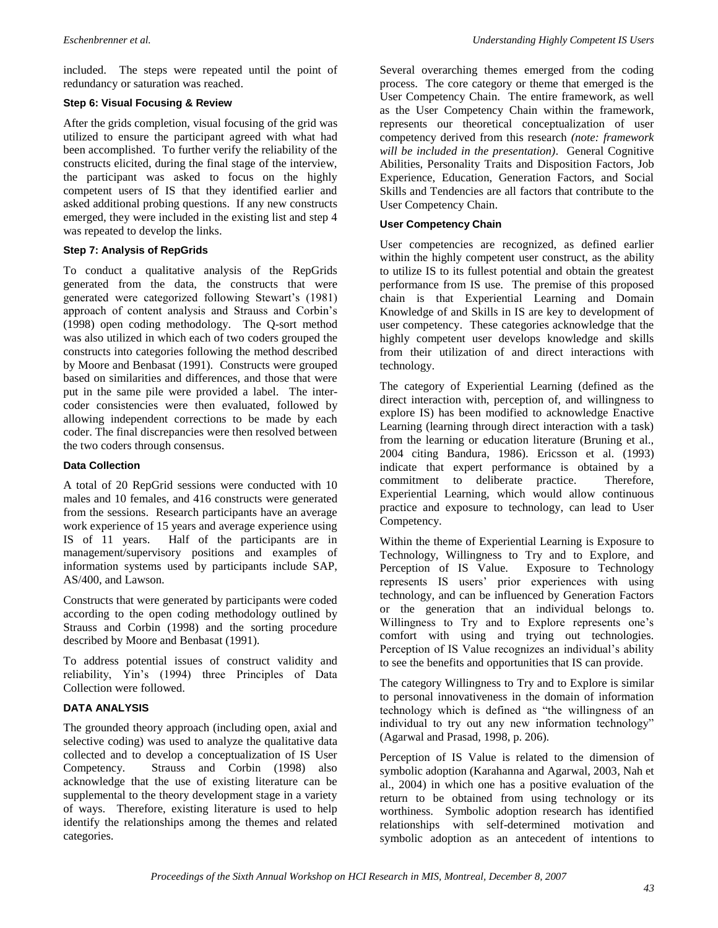included. The steps were repeated until the point of redundancy or saturation was reached.

#### **Step 6: Visual Focusing & Review**

After the grids completion, visual focusing of the grid was utilized to ensure the participant agreed with what had been accomplished. To further verify the reliability of the constructs elicited, during the final stage of the interview, the participant was asked to focus on the highly competent users of IS that they identified earlier and asked additional probing questions. If any new constructs emerged, they were included in the existing list and step 4 was repeated to develop the links.

#### **Step 7: Analysis of RepGrids**

To conduct a qualitative analysis of the RepGrids generated from the data, the constructs that were generated were categorized following Stewart's (1981) approach of content analysis and Strauss and Corbin's (1998) open coding methodology. The Q-sort method was also utilized in which each of two coders grouped the constructs into categories following the method described by Moore and Benbasat (1991). Constructs were grouped based on similarities and differences, and those that were put in the same pile were provided a label. The intercoder consistencies were then evaluated, followed by allowing independent corrections to be made by each coder. The final discrepancies were then resolved between the two coders through consensus.

#### **Data Collection**

A total of 20 RepGrid sessions were conducted with 10 males and 10 females, and 416 constructs were generated from the sessions. Research participants have an average work experience of 15 years and average experience using IS of 11 years. Half of the participants are in management/supervisory positions and examples of information systems used by participants include SAP, AS/400, and Lawson.

Constructs that were generated by participants were coded according to the open coding methodology outlined by Strauss and Corbin (1998) and the sorting procedure described by Moore and Benbasat (1991).

To address potential issues of construct validity and reliability, Yin's (1994) three Principles of Data Collection were followed.

#### **DATA ANALYSIS**

The grounded theory approach (including open, axial and selective coding) was used to analyze the qualitative data collected and to develop a conceptualization of IS User Competency. Strauss and Corbin (1998) also acknowledge that the use of existing literature can be supplemental to the theory development stage in a variety of ways. Therefore, existing literature is used to help identify the relationships among the themes and related categories.

Several overarching themes emerged from the coding process. The core category or theme that emerged is the User Competency Chain. The entire framework, as well as the User Competency Chain within the framework, represents our theoretical conceptualization of user competency derived from this research *(note: framework will be included in the presentation)*. General Cognitive Abilities, Personality Traits and Disposition Factors, Job Experience, Education, Generation Factors, and Social Skills and Tendencies are all factors that contribute to the User Competency Chain.

#### **User Competency Chain**

User competencies are recognized, as defined earlier within the highly competent user construct, as the ability to utilize IS to its fullest potential and obtain the greatest performance from IS use. The premise of this proposed chain is that Experiential Learning and Domain Knowledge of and Skills in IS are key to development of user competency. These categories acknowledge that the highly competent user develops knowledge and skills from their utilization of and direct interactions with technology.

The category of Experiential Learning (defined as the direct interaction with, perception of, and willingness to explore IS) has been modified to acknowledge Enactive Learning (learning through direct interaction with a task) from the learning or education literature (Bruning et al., 2004 citing Bandura, 1986). Ericsson et al. (1993) indicate that expert performance is obtained by a commitment to deliberate practice. Therefore, Experiential Learning, which would allow continuous practice and exposure to technology, can lead to User Competency.

Within the theme of Experiential Learning is Exposure to Technology, Willingness to Try and to Explore, and Perception of IS Value. Exposure to Technology represents IS users' prior experiences with using technology, and can be influenced by Generation Factors or the generation that an individual belongs to. Willingness to Try and to Explore represents one's comfort with using and trying out technologies. Perception of IS Value recognizes an individual's ability to see the benefits and opportunities that IS can provide.

The category Willingness to Try and to Explore is similar to personal innovativeness in the domain of information technology which is defined as "the willingness of an individual to try out any new information technology" (Agarwal and Prasad, 1998, p. 206).

Perception of IS Value is related to the dimension of symbolic adoption (Karahanna and Agarwal, 2003, Nah et al., 2004) in which one has a positive evaluation of the return to be obtained from using technology or its worthiness. Symbolic adoption research has identified relationships with self-determined motivation and symbolic adoption as an antecedent of intentions to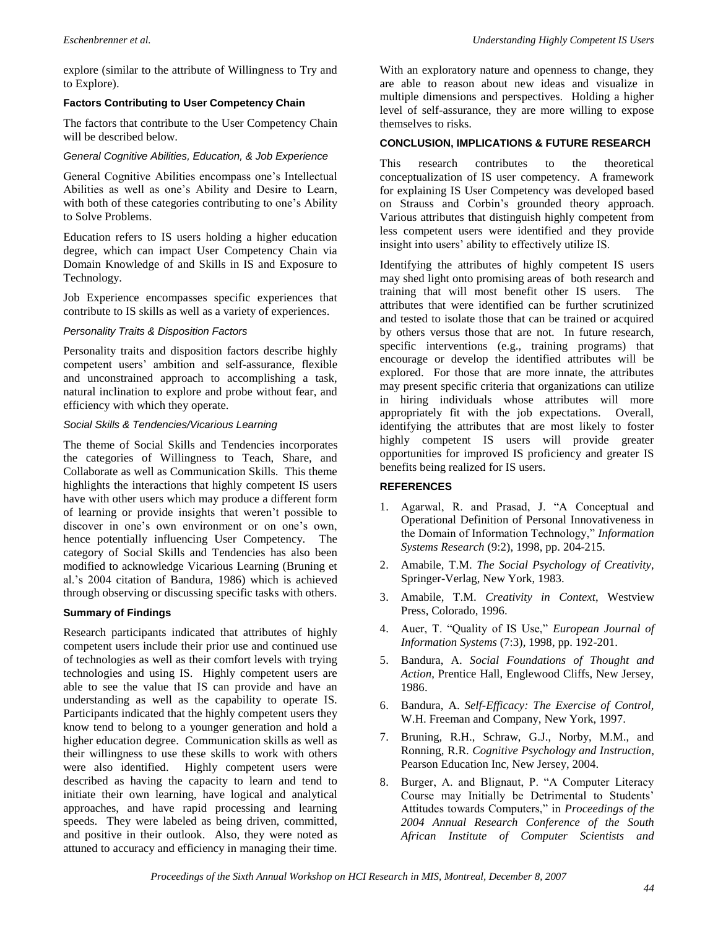explore (similar to the attribute of Willingness to Try and to Explore).

#### **Factors Contributing to User Competency Chain**

The factors that contribute to the User Competency Chain will be described below.

#### *General Cognitive Abilities, Education, & Job Experience*

General Cognitive Abilities encompass one's Intellectual Abilities as well as one's Ability and Desire to Learn, with both of these categories contributing to one's Ability to Solve Problems.

Education refers to IS users holding a higher education degree, which can impact User Competency Chain via Domain Knowledge of and Skills in IS and Exposure to Technology.

Job Experience encompasses specific experiences that contribute to IS skills as well as a variety of experiences.

#### *Personality Traits & Disposition Factors*

Personality traits and disposition factors describe highly competent users' ambition and self-assurance, flexible and unconstrained approach to accomplishing a task, natural inclination to explore and probe without fear, and efficiency with which they operate.

#### *Social Skills & Tendencies/Vicarious Learning*

The theme of Social Skills and Tendencies incorporates the categories of Willingness to Teach, Share, and Collaborate as well as Communication Skills. This theme highlights the interactions that highly competent IS users have with other users which may produce a different form of learning or provide insights that weren't possible to discover in one's own environment or on one's own, hence potentially influencing User Competency. The category of Social Skills and Tendencies has also been modified to acknowledge Vicarious Learning (Bruning et al.'s 2004 citation of Bandura, 1986) which is achieved through observing or discussing specific tasks with others.

#### **Summary of Findings**

Research participants indicated that attributes of highly competent users include their prior use and continued use of technologies as well as their comfort levels with trying technologies and using IS. Highly competent users are able to see the value that IS can provide and have an understanding as well as the capability to operate IS. Participants indicated that the highly competent users they know tend to belong to a younger generation and hold a higher education degree. Communication skills as well as their willingness to use these skills to work with others were also identified. Highly competent users were described as having the capacity to learn and tend to initiate their own learning, have logical and analytical approaches, and have rapid processing and learning speeds. They were labeled as being driven, committed, and positive in their outlook. Also, they were noted as attuned to accuracy and efficiency in managing their time. With an exploratory nature and openness to change, they are able to reason about new ideas and visualize in multiple dimensions and perspectives. Holding a higher level of self-assurance, they are more willing to expose themselves to risks.

#### **CONCLUSION, IMPLICATIONS & FUTURE RESEARCH**

This research contributes to the theoretical conceptualization of IS user competency. A framework for explaining IS User Competency was developed based on Strauss and Corbin's grounded theory approach. Various attributes that distinguish highly competent from less competent users were identified and they provide insight into users' ability to effectively utilize IS.

Identifying the attributes of highly competent IS users may shed light onto promising areas of both research and training that will most benefit other IS users. The attributes that were identified can be further scrutinized and tested to isolate those that can be trained or acquired by others versus those that are not. In future research, specific interventions (e.g., training programs) that encourage or develop the identified attributes will be explored. For those that are more innate, the attributes may present specific criteria that organizations can utilize in hiring individuals whose attributes will more appropriately fit with the job expectations. Overall, identifying the attributes that are most likely to foster highly competent IS users will provide greater opportunities for improved IS proficiency and greater IS benefits being realized for IS users.

#### **REFERENCES**

- 1. Agarwal, R. and Prasad, J. "A Conceptual and Operational Definition of Personal Innovativeness in the Domain of Information Technology," *Information Systems Research* (9:2), 1998, pp. 204-215.
- 2. Amabile, T.M. *The Social Psychology of Creativity*, Springer-Verlag, New York, 1983.
- 3. Amabile, T.M. *Creativity in Context*, Westview Press, Colorado, 1996.
- 4. Auer, T. "Quality of IS Use," *European Journal of Information Systems* (7:3), 1998, pp. 192-201.
- 5. Bandura, A. *Social Foundations of Thought and Action*, Prentice Hall, Englewood Cliffs, New Jersey, 1986.
- 6. Bandura, A. *Self-Efficacy: The Exercise of Control,*  W.H. Freeman and Company, New York, 1997.
- 7. Bruning, R.H., Schraw, G.J., Norby, M.M., and Ronning, R.R. *Cognitive Psychology and Instruction*, Pearson Education Inc, New Jersey, 2004.
- 8. Burger, A. and Blignaut, P. "A Computer Literacy Course may Initially be Detrimental to Students' Attitudes towards Computers," in *Proceedings of the 2004 Annual Research Conference of the South African Institute of Computer Scientists and*